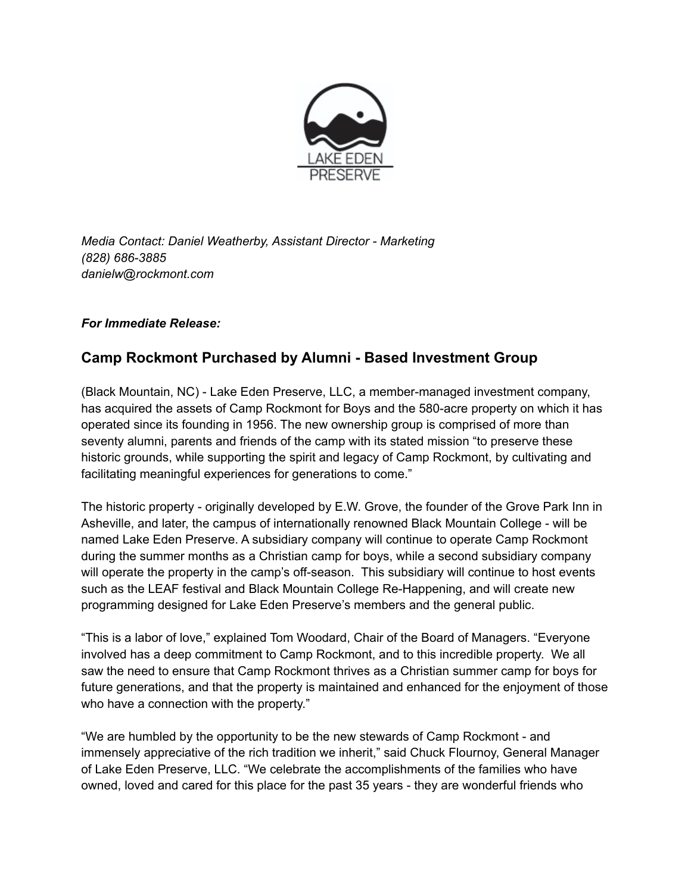

*Media Contact: Daniel Weatherby, Assistant Director - Marketing (828) 686-3885 danielw@rockmont.com*

## *For Immediate Release:*

## **Camp Rockmont Purchased by Alumni - Based Investment Group**

(Black Mountain, NC) - Lake Eden Preserve, LLC, a member-managed investment company, has acquired the assets of Camp Rockmont for Boys and the 580-acre property on which it has operated since its founding in 1956. The new ownership group is comprised of more than seventy alumni, parents and friends of the camp with its stated mission "to preserve these historic grounds, while supporting the spirit and legacy of Camp Rockmont, by cultivating and facilitating meaningful experiences for generations to come."

The historic property - originally developed by E.W. Grove, the founder of the Grove Park Inn in Asheville, and later, the campus of internationally renowned Black Mountain College - will be named Lake Eden Preserve. A subsidiary company will continue to operate Camp Rockmont during the summer months as a Christian camp for boys, while a second subsidiary company will operate the property in the camp's off-season. This subsidiary will continue to host events such as the LEAF festival and Black Mountain College Re-Happening, and will create new programming designed for Lake Eden Preserve's members and the general public.

"This is a labor of love," explained Tom Woodard, Chair of the Board of Managers. "Everyone involved has a deep commitment to Camp Rockmont, and to this incredible property. We all saw the need to ensure that Camp Rockmont thrives as a Christian summer camp for boys for future generations, and that the property is maintained and enhanced for the enjoyment of those who have a connection with the property."

"We are humbled by the opportunity to be the new stewards of Camp Rockmont - and immensely appreciative of the rich tradition we inherit," said Chuck Flournoy, General Manager of Lake Eden Preserve, LLC. "We celebrate the accomplishments of the families who have owned, loved and cared for this place for the past 35 years - they are wonderful friends who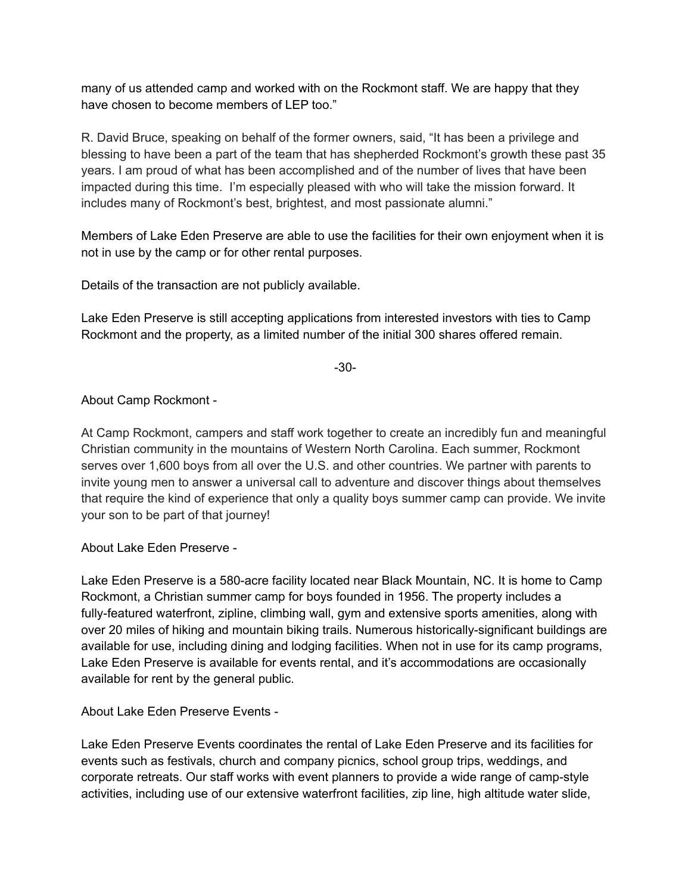many of us attended camp and worked with on the Rockmont staff. We are happy that they have chosen to become members of LEP too."

R. David Bruce, speaking on behalf of the former owners, said, "It has been a privilege and blessing to have been a part of the team that has shepherded Rockmont's growth these past 35 years. I am proud of what has been accomplished and of the number of lives that have been impacted during this time. I'm especially pleased with who will take the mission forward. It includes many of Rockmont's best, brightest, and most passionate alumni."

Members of Lake Eden Preserve are able to use the facilities for their own enjoyment when it is not in use by the camp or for other rental purposes.

Details of the transaction are not publicly available.

Lake Eden Preserve is still accepting applications from interested investors with ties to Camp Rockmont and the property, as a limited number of the initial 300 shares offered remain.

-30-

About Camp Rockmont -

At Camp Rockmont, campers and staff work together to create an incredibly fun and meaningful Christian community in the mountains of Western North Carolina. Each summer, Rockmont serves over 1,600 boys from all over the U.S. and other countries. We partner with parents to invite young men to answer a universal call to adventure and discover things about themselves that require the kind of experience that only a quality boys summer camp can provide. We invite your son to be part of that journey!

About Lake Eden Preserve -

Lake Eden Preserve is a 580-acre facility located near Black Mountain, NC. It is home to Camp Rockmont, a Christian summer camp for boys founded in 1956. The property includes a fully-featured waterfront, zipline, climbing wall, gym and extensive sports amenities, along with over 20 miles of hiking and mountain biking trails. Numerous historically-significant buildings are available for use, including dining and lodging facilities. When not in use for its camp programs, Lake Eden Preserve is available for events rental, and it's accommodations are occasionally available for rent by the general public.

About Lake Eden Preserve Events -

Lake Eden Preserve Events coordinates the rental of Lake Eden Preserve and its facilities for events such as festivals, church and company picnics, school group trips, weddings, and corporate retreats. Our staff works with event planners to provide a wide range of camp-style activities, including use of our extensive waterfront facilities, zip line, high altitude water slide,